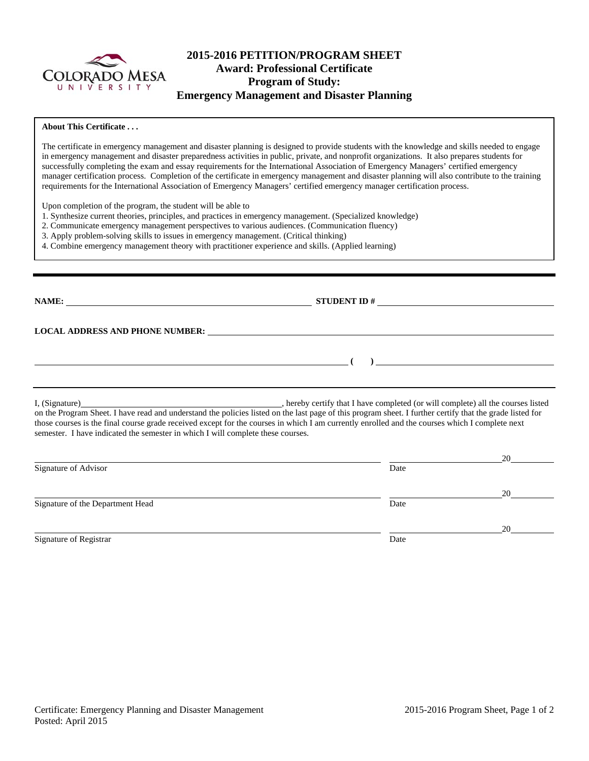

# **2015-2016 PETITION/PROGRAM SHEET Award: Professional Certificate Program of Study: Emergency Management and Disaster Planning**

### **About This Certificate . . .**

The certificate in emergency management and disaster planning is designed to provide students with the knowledge and skills needed to engage in emergency management and disaster preparedness activities in public, private, and nonprofit organizations. It also prepares students for successfully completing the exam and essay requirements for the International Association of Emergency Managers' certified emergency manager certification process. Completion of the certificate in emergency management and disaster planning will also contribute to the training requirements for the International Association of Emergency Managers' certified emergency manager certification process.

Upon completion of the program, the student will be able to

1. Synthesize current theories, principles, and practices in emergency management. (Specialized knowledge)

2. Communicate emergency management perspectives to various audiences. (Communication fluency)

3. Apply problem-solving skills to issues in emergency management. (Critical thinking)

4. Combine emergency management theory with practitioner experience and skills. (Applied learning)

**NAME: STUDENT ID #**

**LOCAL ADDRESS AND PHONE NUMBER:**

 **( )** 

I, (Signature) , hereby certify that I have completed (or will complete) all the courses listed on the Program Sheet. I have read and understand the policies listed on the last page of this program sheet. I further certify that the grade listed for those courses is the final course grade received except for the courses in which I am currently enrolled and the courses which I complete next semester. I have indicated the semester in which I will complete these courses.

|                                  |      | 20 |
|----------------------------------|------|----|
| Signature of Advisor             | Date |    |
|                                  |      | 20 |
| Signature of the Department Head | Date |    |
|                                  |      | 20 |
| Signature of Registrar           | Date |    |